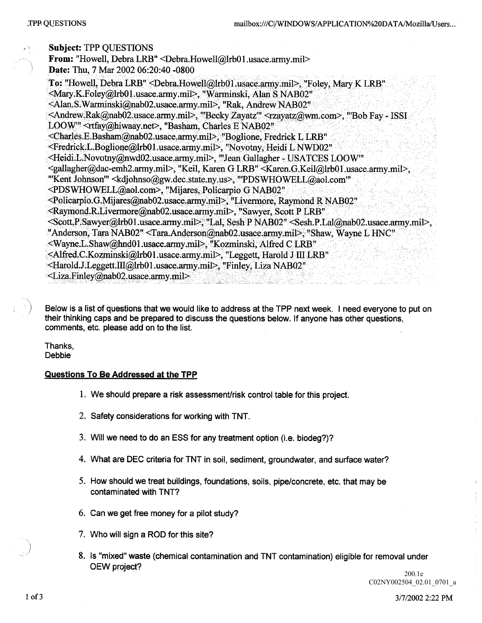| <b>Subject: TPP QUESTIONS</b>                                                                                                                                         |
|-----------------------------------------------------------------------------------------------------------------------------------------------------------------------|
| From: "Howell, Debra LRB" <debra.howell@lrb01.usace.army.mil></debra.howell@lrb01.usace.army.mil>                                                                     |
| Date: Thu, 7 Mar 2002 06:20:40 -0800                                                                                                                                  |
| To: "Howell, Debra LRB" <debra.howell@lrb01.usace.army.mil>, "Foley, Mary K LRB"</debra.howell@lrb01.usace.army.mil>                                                  |
| <mary k.foley@lrb01.usace.army.mil="">, "Warminski, Alan S NAB02"</mary>                                                                                              |
| <alan.s.warminski@nab02.usace.army.mil>, "Rak, Andrew NAB02"</alan.s.warminski@nab02.usace.army.mil>                                                                  |
| <andrew.rak@nab02.usace.army.mil>, "Becky Zayatz" <rzayatz@wm.com>, "Bob Fay - ISSI</rzayatz@wm.com></andrew.rak@nab02.usace.army.mil>                                |
| LOOW" <rtfay@hiwaay.net>, "Basham, Charles E NAB02"</rtfay@hiwaay.net>                                                                                                |
| <charles.e.basham@nab02.usace.army.mil>, "Boglione, Fredrick L LRB"</charles.e.basham@nab02.usace.army.mil>                                                           |
| <fredrick.l.boglione@lrb01.usace.army.mil>, "Novotny, Heidi L NWD02"</fredrick.l.boglione@lrb01.usace.army.mil>                                                       |
| <heidi.l.novotny@nwd02.usace.army.mil>, "Jean Gallagher - USATCES LOOW"</heidi.l.novotny@nwd02.usace.army.mil>                                                        |
| <gallagher@dac-emh2.army.mil>, "Keil, Karen G LRB" <karen.g.keil@lrb01.usace.army.mil>,</karen.g.keil@lrb01.usace.army.mil></gallagher@dac-emh2.army.mil>             |
| "Kent Johnson" <kdjohnso@gw.dec.state.ny.us>, "PDSWHOWELL@aol.com"</kdjohnso@gw.dec.state.ny.us>                                                                      |
| <pdswhowell@aol.com>, "Mijares, Policarpio G NAB02"</pdswhowell@aol.com>                                                                                              |
| <policarpio.g.mijares@nab02.usace.army.mil>, "Livermore, Raymond R NAB02"</policarpio.g.mijares@nab02.usace.army.mil>                                                 |
| <raymond.r.livermore@nab02.usace.army.mil>, "Sawyer, Scott P LRB"</raymond.r.livermore@nab02.usace.army.mil>                                                          |
| <scott.p.sawyer@lrb01.usace.army.mil>, "Lal, Sesh P NAB02" <sesh.p.lal@nab02.usace.army.mil>,</sesh.p.lal@nab02.usace.army.mil></scott.p.sawyer@lrb01.usace.army.mil> |
| "Anderson, Tara NAB02" <tara.anderson@nab02.usace.army.mil>, "Shaw, Wayne L HNC"</tara.anderson@nab02.usace.army.mil>                                                 |
| <wayne.l.shaw@hnd01.usace.army.mil>, "Kozminski, Alfred C LRB"</wayne.l.shaw@hnd01.usace.army.mil>                                                                    |
| <alfred.c.kozminski@lrb01.usace.army.mil>, "Leggett, Harold J III LRB"</alfred.c.kozminski@lrb01.usace.army.mil>                                                      |
| <harold.j.leggett.iii@lrb01.usace.army.mil>, "Finley, Liza NAB02"</harold.j.leggett.iii@lrb01.usace.army.mil>                                                         |
| $\leq$ Liza.Finley@nab02.usace.army.mil $\geq$                                                                                                                        |

Below is a list of questions that we would like to address at the TPP next week. I need everyone to put on their thinking caps and be prepared to discuss the questions below. If anyone has other questions, comments, etc. please add on to the list.

Thanks Debbie

## Questions To Be Addressed at the TPP

- 1. We should prepare a risk assessment/risk control table for this project.
- 2. Safety considerations for working with TNT.
- 3. Will we need to do an ESS for any treatment option (i.e. biodeg?)?
- 4. What are DEC criteria for TNT in soil, sediment, groundwater, and surface water?
- 5. How should we treat buildings, foundations, soils, pipe/concrete, etc. that may be contaminated with TNT
- $6.$  Can we get free money for a pilot study?
- 7. Who will sign a ROD for this site?
- 8. Is "mixed" waste (chemical contamination and TNT contamination) eligible for removal under OEW project

PROJ\_05 50 C02NY002504\_02.01\_0701\_a200.1e

1 of 3 3/7/2002 2:22 PM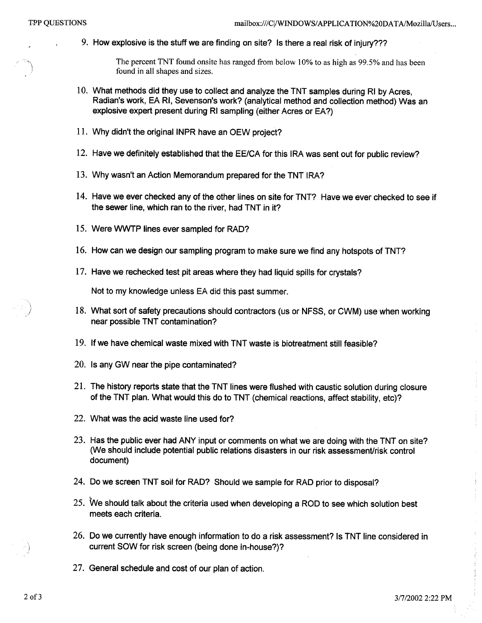9. How explosive is the stuff we are finding on site? Is there a real risk of injury???

The percent TNT found onsite has ranged from below 10% to as high as 99.5% and has been found in all shapes and sizes

- 10. What methods did they use to collect and analyze the TNT samples during RI by Acres, Radian's work, EA RI, Sevenson's work? (analytical method and collection method) Was an explosive expert present during RI sampling (either Acres or EA?)
- 11. Why didn't the original INPR have an OEW project?
- 12. Have we definitely established that the EE/CA for this IRA was sent out for public review?
- 13. Why wasn't an Action Memorandum prepared for the TNT IRA?
- 14. Have we ever checked any of the other lines on site for TNT? Have we ever checked to see if the sewer line, which ran to the river, had TNT in it?
- 15. Were WWTP lines ever sampled for RAD?
- 16. How can we design our sampling program to make sure we find any hotspots of TNT?
- 17. Have we rechecked test pit areas where they had liquid spills for crystals?

Not to my knowledge unless EA did this past summer

- 18. What sort of safety precautions should contractors (us or NFSS, or CWM) use when working near possible TNT contamination
- 19 If we have chemical waste mixed with TNT waste is biotreatment still feasible
- 20. Is any GW near the pipe contaminated?
- 21 The history reports state that the TNT lines were flushed with caustic solution during closure of the TNT plan. What would this do to TNT (chemical reactions, affect stability, etc)?
- 22. What was the acid waste line used for?
- 23. Has the public ever had ANY input or comments on what we are doing with the TNT on site? We should include potential public relations disasters in our risk assessment/risk control document
- 24. Do we screen TNT soil for RAD? Should we sample for RAD prior to disposal?
- 25. We should talk about the criteria used when developing a ROD to see which solution best meets each criteria
- 26. Do we currently have enough information to do a risk assessment? Is TNT line considered in current SOW for risk screen (being done in-house?)?
- 27. General schedule and cost of our plan of action.

 $\begin{aligned} \frac{1}{2} \left( \begin{array}{ccc} 1 & 0 & 0 & 0 & 0 \\ 0 & 1 & 0 & 0 & 0 \\ 0 & 0 & 0 & 0 & 0 \\ 0 & 0 & 0 & 0 & 0 \\ 0 & 0 & 0 & 0 & 0 \\ 0 & 0 & 0 & 0 & 0 \\ 0 & 0 & 0 & 0 & 0 \\ 0 & 0 & 0 & 0 & 0 \\ 0 & 0 & 0 & 0 & 0 \\ 0 & 0 & 0 & 0 & 0 \\ 0 & 0 & 0 & 0 & 0 \\ 0 & 0 & 0 & 0 & 0 \\ 0 & 0 & 0 & 0 & 0 \\ 0 &$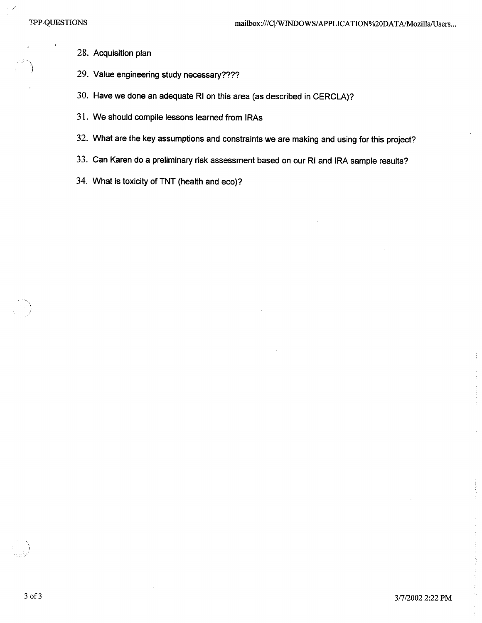28. Acquisition plan

- 29. Value engineering study necessary????
- 30. Have we done an adequate RI on this area (as described in CERCLA)?
- 31. We should compile lessons learned from IRAs
- 32. What are the key assumptions and constraints we are making and using for this project?
- 33. Can Karen do a preliminary risk assessment based on our RI and IRA sample results?
- 34. What is toxicity of TNT (health and eco)?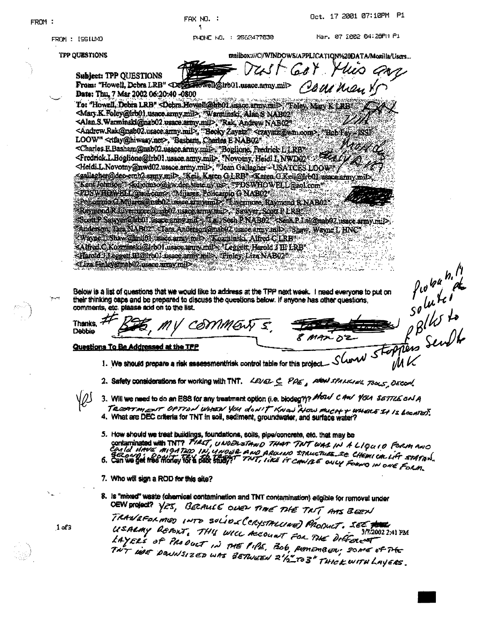Oct. 17 2001 07:10PM P1 FAX NO. : FROM:  $\overline{\mathbf{1}}$ Mar. 07 2002 04:20PM P1 PHONE NO. : 2562477830 FROM: 15SILMO mailbox:///C//WINDOWS/APPLICATION%20DATA/Mozilla/Users... TPP QUESTIONS **Subject: TPP QUESTIONS** From: "Howell, Debra LRB" <Debra towell@irb01.usacc.army.mil> Cam may Date: Thu, 7 Mar 2002 06:20:40 -0800 To: "Howell, Debra LRB" Octra Howell@hoot ussice arrow only Train Mary & LRB <Mary.K.Foley@kro01.usace.army.mil>, "Warminski, Alan & MAB02" <Alan.S.Warminski@nab02.usace.army.mil>, "Rak, Andrew NAB02" <Andrew.Rak@nab02.usace.army.mil>, "Becky Zayatz" <tzayatz@wm.com>, "Beb Fay TS OL LOOW" <tfay@hiwaay.net>, "Basham, Charles E NAB02" <Charles E.Basham@uab02.usace.army.mil> Boglione, Fredrick LLRB\* <Fredrick.L.Boglione@trb01.usace.army.mil>. "Novotny, Heidl L.NWD02 <Heidi L.Novomy@nwd02.usace.army.mil>, "Jean Gallagher - USATCES LOOW") <sallagher@dec-emh2.smy.mil>, "Keil, Karen G LRB" <Karen G Keil@lrb0) usace.army.mil> "Kent Johnson" Skaloimsovagov dez state ny us> "PDSWHOWFLL ago1.com" <PDSWHOWELL@noLcom> "Mijares, Policarpio G NAB02 Policarnova Milares @nae02 issue armyamD TExernicee Raymond R NAB02 Raymond Rinverrinc@rab02 usec array ful>. Sawyer Scott PLRB Scott P. Sawyer Olmu! usace armword> Tal Nesh P. N.4B02" < Seah P. Lai@mab02.usace army.mil> Anderson Tara NAB2 Then Anderson@nab92 usace amy mil> 8haw Wayne L HNC\* Wayne I Shaw glindfl issectarily in a Kozminski, Alfred CLRB <Alfred C.Kozminski@iro01.usace.arm/.mil> Leggett, Harold J III LRB <Haroid Jieggett Hi@irb0 bsace army mil> Finley, Liza NAB02\* Probably of the South of the South of the South of the Send to the Send to the Send to the Send to the Send to <Liza Finley@nab02.usace.army.mil> Below is a list of questions that we would like to address at the TPP next week. I need everyone to put on their thinking caps and be prepared to discuss the questions below. If anyone has other questions, comments, etc. please add on to the list. Thanks,  $\vec{\tau}$ COMMENTS Debbie Questions To Be Addressed at the TPP 1. We should prepare a risk assessmentirisk control table for this project. 2. Safety considerations for working with TNT. LEVEL C PDE, MON SPARICING, TOOLS DECOM. 3. Will we need to do an ESS for any treatment option (i.e. biodeg?)? Moul C And You SETTLE only TRESPT MENT OPTION WHEN YOU don't KNOW ALOW MUCH + WHERE It Is LOCATED. 4. What are DEC criteria for TNT in soil, sediment, groundwater, and surface water? 5. How should we treat buildings, foundations, soils, pipe/concrete, etc. that may be contaminated with TNT? FIRST, UNDERSTAND THAT TNT WAS IN A LIQUID FORM AND CONDITIONS WAS MIGHTED IN UNDER AND ARRIVED 27AUCTUBE 2e CHEMICALLY STATION. 7. Who will sign a ROD for this site? 8. Is "mixed" waste (chemical contamination and TNT contamination) eligible for removal under DEW project? YES, BERALLE OVEN TIME THE TAIT AMS BEEN TRANSFORMED INTO SOLIDE (CRYSTALINE) PRODUCT. SEE TO USALMY REPORT, THIS WILL ACCOUNT FOR THE DIFFERENT  $1 of 3$ 3/7.2002 2:41 PM LAYERS OF PRODUCT IN THE PIPE. BOG REMEMBER, SOME OF THE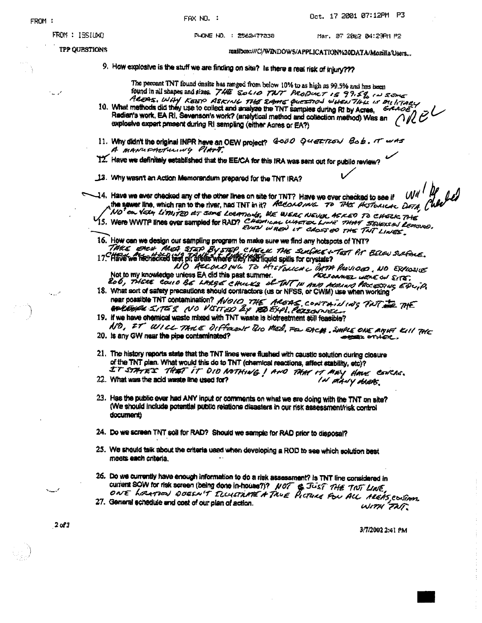FAX NO. :

Oct. 17 2001 07:12PM P3

PHONE NO. : 2562477330

mailbox:///C/WINDOWS/APPLICATION%20DATA/Mozilla/Users...

9. How explosive is the stuff we are finding on site? Is there a real risk of injury???

The percent TNT found onsite has ranged from below 10% to as high as 99.5% and has been found in all shapes and sizes. 740 Solio TWT PRODUCT 15 99.5% IN ZOME

- AREPAS. WHY KEEP ASKING THE EMME QUESTION WHEN THE IS ON IT ARY  $\not\!\!R$   $\not\!\!E^{\mathcal L}$ Radian's work, EA RI, Sevenson's work? (analytical method and collection method) Was an explosive expert present during RI sampling (either Asres or EA?)
- 11. Why didn't the original INPR have an OEW project?  $\theta \sim 0$   $\theta$   $\ll$   $\epsilon$   $\approx 0$   $\pi$   $\sim$   $\pi$   $\sim$   $\pi$   $\sim$   $\pi$ A MANUFACTURING PIATT.
- 12. Have we definitely established that the EE/CA for this IRA was sent out for public review?

13. Why wasn't an Action Memorandum prepared for the TNT IRA?

 $wu'$  Be 14. Have we ever checked any of the other lines on site for TNT? Have we ever checked to see if the server line, which ran to the river, had TNT in it? According. To This Historican DetA ( NO ON VERY LIMITED AT SOME LOCATIONS, WE WERE NEVER AGKED TO CHECK THE

- 15. Were WWTP lines ever sampled for RAD? CHEMICAL WALTER LINE 7HAT SEVELS AN LEARNED.
- 16. How can we design our sampling program to make sure we find any hotspots of TNT?
- THE EACH MEA STEP BY STEP CHECK THE SURVEY TEST PIT BELOW SURFACE. NO ACCORDING TO HISTORICAL DATA PASSIORS, NO EXPLOSIVE Not to my knowledge unless EA did this past summer. Falsoanez WERE ON SITE. ROL WITH REVERSE COULD BE LARGE CHULKS OF THE THE AND ALBIAN PROCESSING EDUIN
- 18. What sort of safety precautions should contractors (us or NFSS, or CWM) use when working near possible TNT contamination? AVOID THE AREAS, CONTAINING TOT THE THE
- 19. If we have chemical waste mixed with TNT waste is biotreatment still feasible? ND, IT WILL TAKE DIFFOLIOF BIO MED, FOL EACH, SMPLE ONE AMHT KILL THE
- 20. Is any GW near the pipe contaminated? **ANSX OTHER.**
- 21. The history reports state that the TNT lines were flushed with caustic solution during closure of the TNT plan. What would this do to TNT (chemical reactions, affect stability, stc)? IT STATES THAT IT DID NOTHING ! AND THAT IT MAY HAVE CONCRE.
- 22. What was the acid waste line used for? IN MANY MARS
- 23. Has the public ever had ANY input or comments on what we are doing with the TNT on site? (We should include potential public relations disasters in our risk assessment/risk control document)
- 24. Do we screen TNT soil for RAD? Should we sample for RAD prior to disposal?
- 25. We should talk about the criteria used when developing a ROD to see which solution best meets each criteria.
- 26. Do we currently have enough information to do a risk assessment? Is TNT line considered in CUTTER SOW for fisk screen (being done in house?)? NOT & JUST THE TWIT LINE,
- 27. General schedule and cost of our plan of action. WITH TAT.

3/7/2002 2:41 PM

**2 of 3**